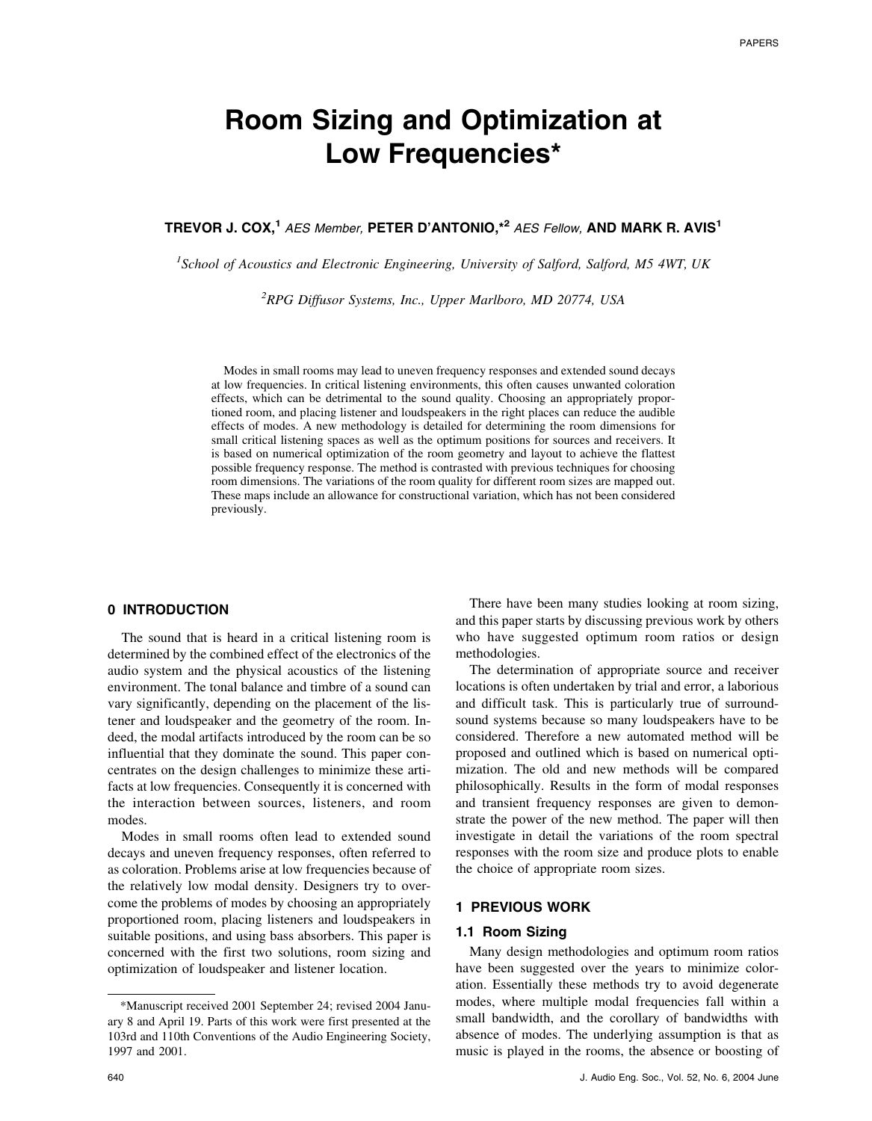# **Room Sizing and Optimization at Low Frequencies\***

# **TREVOR J. COX,1** *AES Member,* **PETER D'ANTONIO,\*2** *AES Fellow,* **AND MARK R. AVIS1**

*1 School of Acoustics and Electronic Engineering, University of Salford, Salford, M5 4WT, UK*

*2 RPG Diffusor Systems, Inc., Upper Marlboro, MD 20774, USA*

Modes in small rooms may lead to uneven frequency responses and extended sound decays at low frequencies. In critical listening environments, this often causes unwanted coloration effects, which can be detrimental to the sound quality. Choosing an appropriately proportioned room, and placing listener and loudspeakers in the right places can reduce the audible effects of modes. A new methodology is detailed for determining the room dimensions for small critical listening spaces as well as the optimum positions for sources and receivers. It is based on numerical optimization of the room geometry and layout to achieve the flattest possible frequency response. The method is contrasted with previous techniques for choosing room dimensions. The variations of the room quality for different room sizes are mapped out. These maps include an allowance for constructional variation, which has not been considered previously.

# **0 INTRODUCTION**

The sound that is heard in a critical listening room is determined by the combined effect of the electronics of the audio system and the physical acoustics of the listening environment. The tonal balance and timbre of a sound can vary significantly, depending on the placement of the listener and loudspeaker and the geometry of the room. Indeed, the modal artifacts introduced by the room can be so influential that they dominate the sound. This paper concentrates on the design challenges to minimize these artifacts at low frequencies. Consequently it is concerned with the interaction between sources, listeners, and room modes.

Modes in small rooms often lead to extended sound decays and uneven frequency responses, often referred to as coloration. Problems arise at low frequencies because of the relatively low modal density. Designers try to overcome the problems of modes by choosing an appropriately proportioned room, placing listeners and loudspeakers in suitable positions, and using bass absorbers. This paper is concerned with the first two solutions, room sizing and optimization of loudspeaker and listener location.

There have been many studies looking at room sizing, and this paper starts by discussing previous work by others who have suggested optimum room ratios or design methodologies.

The determination of appropriate source and receiver locations is often undertaken by trial and error, a laborious and difficult task. This is particularly true of surroundsound systems because so many loudspeakers have to be considered. Therefore a new automated method will be proposed and outlined which is based on numerical optimization. The old and new methods will be compared philosophically. Results in the form of modal responses and transient frequency responses are given to demonstrate the power of the new method. The paper will then investigate in detail the variations of the room spectral responses with the room size and produce plots to enable the choice of appropriate room sizes.

### **1 PREVIOUS WORK**

# **1.1 Room Sizing**

Many design methodologies and optimum room ratios have been suggested over the years to minimize coloration. Essentially these methods try to avoid degenerate modes, where multiple modal frequencies fall within a small bandwidth, and the corollary of bandwidths with absence of modes. The underlying assumption is that as music is played in the rooms, the absence or boosting of

<sup>\*</sup>Manuscript received 2001 September 24; revised 2004 January 8 and April 19. Parts of this work were first presented at the 103rd and 110th Conventions of the Audio Engineering Society, 1997 and 2001.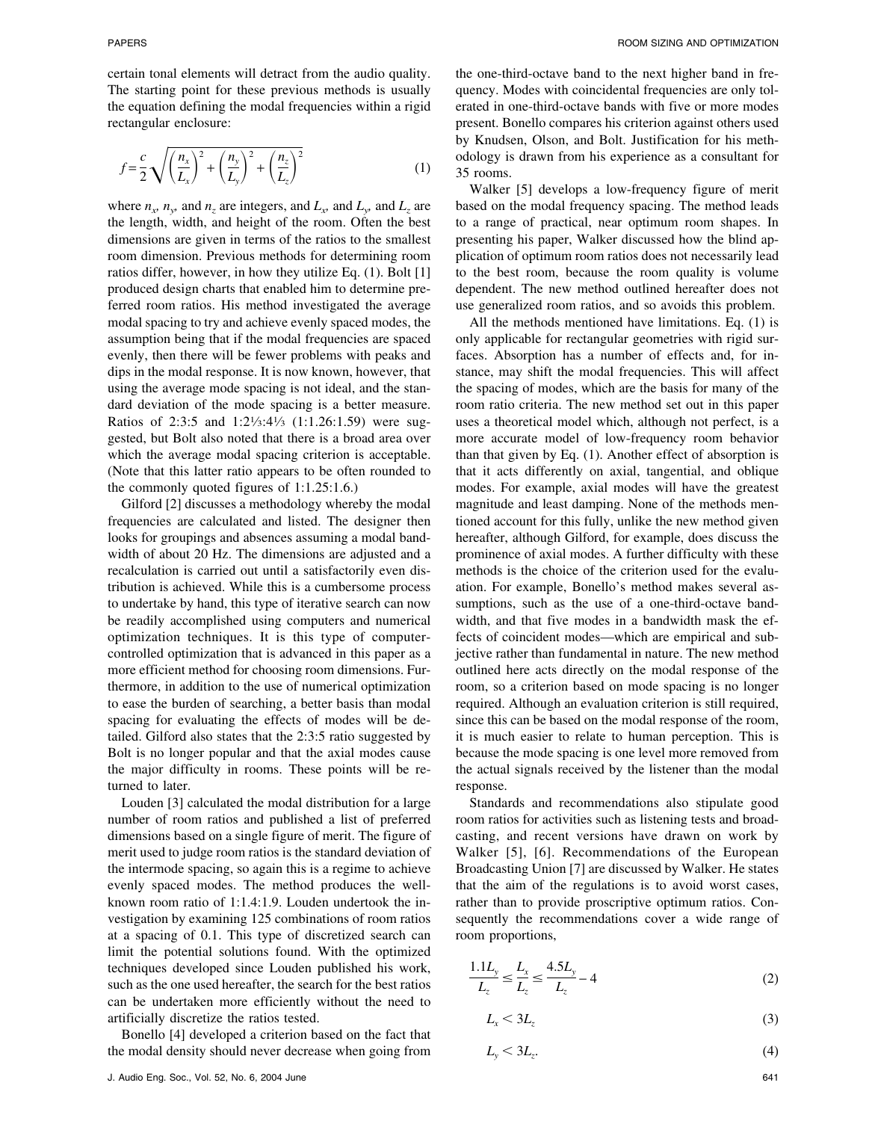certain tonal elements will detract from the audio quality. The starting point for these previous methods is usually the equation defining the modal frequencies within a rigid rectangular enclosure:

$$
f = \frac{c}{2} \sqrt{\left(\frac{n_x}{L_x}\right)^2 + \left(\frac{n_y}{L_y}\right)^2 + \left(\frac{n_z}{L_z}\right)^2}
$$
 (1)

where  $n_x$ ,  $n_y$ , and  $n_z$  are integers, and  $L_y$  and  $L_z$  are the length, width, and height of the room. Often the best dimensions are given in terms of the ratios to the smallest room dimension. Previous methods for determining room ratios differ, however, in how they utilize Eq. (1). Bolt [1] produced design charts that enabled him to determine preferred room ratios. His method investigated the average modal spacing to try and achieve evenly spaced modes, the assumption being that if the modal frequencies are spaced evenly, then there will be fewer problems with peaks and dips in the modal response. It is now known, however, that using the average mode spacing is not ideal, and the standard deviation of the mode spacing is a better measure. Ratios of 2:3:5 and 1:21⁄3:41⁄3 (1:1.26:1.59) were suggested, but Bolt also noted that there is a broad area over which the average modal spacing criterion is acceptable. (Note that this latter ratio appears to be often rounded to the commonly quoted figures of 1:1.25:1.6.)

Gilford [2] discusses a methodology whereby the modal frequencies are calculated and listed. The designer then looks for groupings and absences assuming a modal bandwidth of about 20 Hz. The dimensions are adjusted and a recalculation is carried out until a satisfactorily even distribution is achieved. While this is a cumbersome process to undertake by hand, this type of iterative search can now be readily accomplished using computers and numerical optimization techniques. It is this type of computercontrolled optimization that is advanced in this paper as a more efficient method for choosing room dimensions. Furthermore, in addition to the use of numerical optimization to ease the burden of searching, a better basis than modal spacing for evaluating the effects of modes will be detailed. Gilford also states that the 2:3:5 ratio suggested by Bolt is no longer popular and that the axial modes cause the major difficulty in rooms. These points will be returned to later.

Louden [3] calculated the modal distribution for a large number of room ratios and published a list of preferred dimensions based on a single figure of merit. The figure of merit used to judge room ratios is the standard deviation of the intermode spacing, so again this is a regime to achieve evenly spaced modes. The method produces the wellknown room ratio of 1:1.4:1.9. Louden undertook the investigation by examining 125 combinations of room ratios at a spacing of 0.1. This type of discretized search can limit the potential solutions found. With the optimized techniques developed since Louden published his work, such as the one used hereafter, the search for the best ratios can be undertaken more efficiently without the need to artificially discretize the ratios tested.

Bonello [4] developed a criterion based on the fact that the modal density should never decrease when going from the one-third-octave band to the next higher band in frequency. Modes with coincidental frequencies are only tolerated in one-third-octave bands with five or more modes present. Bonello compares his criterion against others used by Knudsen, Olson, and Bolt. Justification for his methodology is drawn from his experience as a consultant for 35 rooms.

Walker [5] develops a low-frequency figure of merit based on the modal frequency spacing. The method leads to a range of practical, near optimum room shapes. In presenting his paper, Walker discussed how the blind application of optimum room ratios does not necessarily lead to the best room, because the room quality is volume dependent. The new method outlined hereafter does not use generalized room ratios, and so avoids this problem.

All the methods mentioned have limitations. Eq. (1) is only applicable for rectangular geometries with rigid surfaces. Absorption has a number of effects and, for instance, may shift the modal frequencies. This will affect the spacing of modes, which are the basis for many of the room ratio criteria. The new method set out in this paper uses a theoretical model which, although not perfect, is a more accurate model of low-frequency room behavior than that given by Eq. (1). Another effect of absorption is that it acts differently on axial, tangential, and oblique modes. For example, axial modes will have the greatest magnitude and least damping. None of the methods mentioned account for this fully, unlike the new method given hereafter, although Gilford, for example, does discuss the prominence of axial modes. A further difficulty with these methods is the choice of the criterion used for the evaluation. For example, Bonello's method makes several assumptions, such as the use of a one-third-octave bandwidth, and that five modes in a bandwidth mask the effects of coincident modes—which are empirical and subjective rather than fundamental in nature. The new method outlined here acts directly on the modal response of the room, so a criterion based on mode spacing is no longer required. Although an evaluation criterion is still required, since this can be based on the modal response of the room, it is much easier to relate to human perception. This is because the mode spacing is one level more removed from the actual signals received by the listener than the modal response.

Standards and recommendations also stipulate good room ratios for activities such as listening tests and broadcasting, and recent versions have drawn on work by Walker [5], [6]. Recommendations of the European Broadcasting Union [7] are discussed by Walker. He states that the aim of the regulations is to avoid worst cases, rather than to provide proscriptive optimum ratios. Consequently the recommendations cover a wide range of room proportions,

$$
\frac{1.1L_y}{L_z} \le \frac{L_x}{L_z} \le \frac{4.5L_y}{L_z} - 4
$$
\n(2)

$$
L_x < 3L_z \tag{3}
$$

$$
L_{y} < 3L_{z}.\tag{4}
$$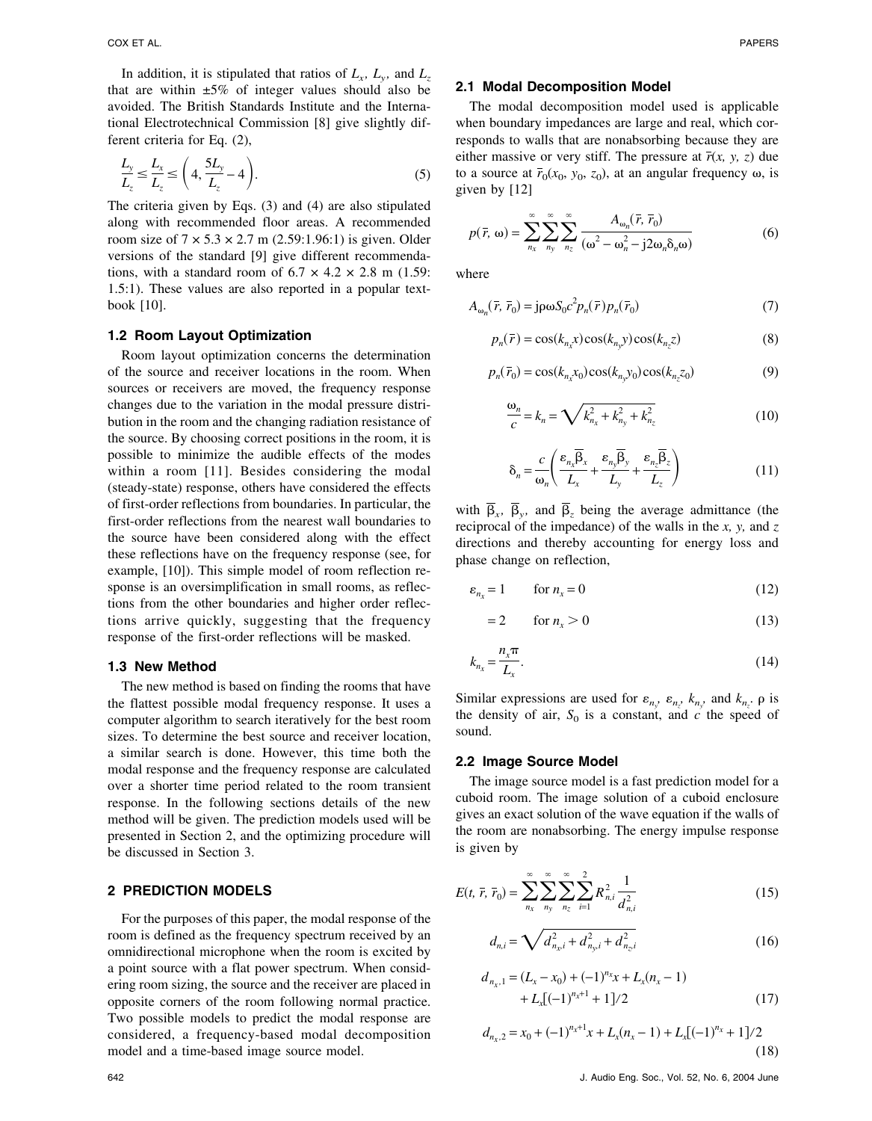In addition, it is stipulated that ratios of  $L_x$ ,  $L_y$ , and  $L_z$ that are within  $\pm 5\%$  of integer values should also be avoided. The British Standards Institute and the International Electrotechnical Commission [8] give slightly different criteria for Eq. (2),

$$
\frac{L_y}{L_z} \le \frac{L_x}{L_z} \le \left(4, \frac{5L_y}{L_z} - 4\right). \tag{5}
$$

The criteria given by Eqs. (3) and (4) are also stipulated along with recommended floor areas. A recommended room size of  $7 \times 5.3 \times 2.7$  m (2.59:1.96:1) is given. Older versions of the standard [9] give different recommendations, with a standard room of  $6.7 \times 4.2 \times 2.8$  m (1.59: 1.5:1). These values are also reported in a popular textbook [10].

### **1.2 Room Layout Optimization**

Room layout optimization concerns the determination of the source and receiver locations in the room. When sources or receivers are moved, the frequency response changes due to the variation in the modal pressure distribution in the room and the changing radiation resistance of the source. By choosing correct positions in the room, it is possible to minimize the audible effects of the modes within a room [11]. Besides considering the modal (steady-state) response, others have considered the effects of first-order reflections from boundaries. In particular, the first-order reflections from the nearest wall boundaries to the source have been considered along with the effect these reflections have on the frequency response (see, for example, [10]). This simple model of room reflection response is an oversimplification in small rooms, as reflections from the other boundaries and higher order reflections arrive quickly, suggesting that the frequency response of the first-order reflections will be masked.

# **1.3 New Method**

The new method is based on finding the rooms that have the flattest possible modal frequency response. It uses a computer algorithm to search iteratively for the best room sizes. To determine the best source and receiver location, a similar search is done. However, this time both the modal response and the frequency response are calculated over a shorter time period related to the room transient response. In the following sections details of the new method will be given. The prediction models used will be presented in Section 2, and the optimizing procedure will be discussed in Section 3.

# **2 PREDICTION MODELS**

For the purposes of this paper, the modal response of the room is defined as the frequency spectrum received by an omnidirectional microphone when the room is excited by a point source with a flat power spectrum. When considering room sizing, the source and the receiver are placed in opposite corners of the room following normal practice. Two possible models to predict the modal response are considered, a frequency-based modal decomposition model and a time-based image source model.

# **2.1 Modal Decomposition Model**

The modal decomposition model used is applicable when boundary impedances are large and real, which corresponds to walls that are nonabsorbing because they are either massive or very stiff. The pressure at  $\bar{r}(x, y, z)$  due to a source at  $\bar{r}_0(x_0, y_0, z_0)$ , at an angular frequency  $\omega$ , is given by [12]

$$
p(\bar{r}, \omega) = \sum_{n_x}^{\infty} \sum_{n_y}^{\infty} \sum_{n_z}^{\infty} \frac{A_{\omega_n}(\bar{r}, \bar{r}_0)}{(\omega^2 - \omega_n^2 - j2\omega_n\delta_n\omega)}
$$
(6)

where

$$
A_{\omega_n}(\bar{r}, \bar{r}_0) = j \rho \omega S_0 c^2 p_n(\bar{r}) p_n(\bar{r}_0)
$$
\n<sup>(7)</sup>

$$
p_n(\bar{r}) = \cos(k_{n_x}x)\cos(k_{n_y}y)\cos(k_{n_z}z)
$$
\n(8)

$$
p_n(\bar{r}_0) = \cos(k_{n_x}x_0)\cos(k_{n_y}y_0)\cos(k_{n_z}z_0)
$$
\n(9)

$$
\frac{\omega_n}{c} = k_n = \sqrt{k_{n_x}^2 + k_{n_y}^2 + k_{n_z}^2}
$$
 (10)

$$
\delta_n = \frac{c}{\omega_n} \left( \frac{\varepsilon_{n_x} \overline{\beta}_x}{L_x} + \frac{\varepsilon_{n_y} \overline{\beta}_y}{L_y} + \frac{\varepsilon_{n_z} \overline{\beta}_z}{L_z} \right)
$$
(11)

with  $\overline{\beta}_x$ ,  $\overline{\beta}_y$ , and  $\overline{\beta}_z$  being the average admittance (the reciprocal of the impedance) of the walls in the *x, y,* and *z* directions and thereby accounting for energy loss and phase change on reflection,

$$
\varepsilon_{n_x} = 1 \qquad \text{for } n_x = 0 \tag{12}
$$

$$
=2 \qquad \text{for } n_x > 0 \tag{13}
$$

$$
k_{n_x} = \frac{n_x \pi}{L_x}.
$$
\n(14)

Similar expressions are used for  $\varepsilon_{n_y}$ ,  $\varepsilon_{n_z}$ ,  $k_{n_y}$ , and  $k_{n_z}$ .  $\rho$  is the density of air,  $S_0$  is a constant, and  $c$  the speed of sound.

### **2.2 Image Source Model**

The image source model is a fast prediction model for a cuboid room. The image solution of a cuboid enclosure gives an exact solution of the wave equation if the walls of the room are nonabsorbing. The energy impulse response is given by

$$
E(t, \bar{r}, \bar{r}_0) = \sum_{n_x}^{\infty} \sum_{n_y}^{\infty} \sum_{n_z}^{\infty} \sum_{i=1}^{2} R_{n,i}^2 \frac{1}{d_{n,i}^2}
$$
(15)

$$
d_{n,i} = \sqrt{d_{n_{x}i}^2 + d_{n_{y}i}^2 + d_{n_{z}i}^2}
$$
 (16)

$$
d_{n_x,1} = (L_x - x_0) + (-1)^{n_x}x + L_x(n_x - 1)
$$
  
+ 
$$
L_x[(-1)^{n_x+1} + 1]/2
$$
 (17)

$$
d_{n_x,2} = x_0 + (-1)^{n_x+1}x + L_x(n_x-1) + L_x[(-1)^{n_x} + 1]/2
$$
\n(18)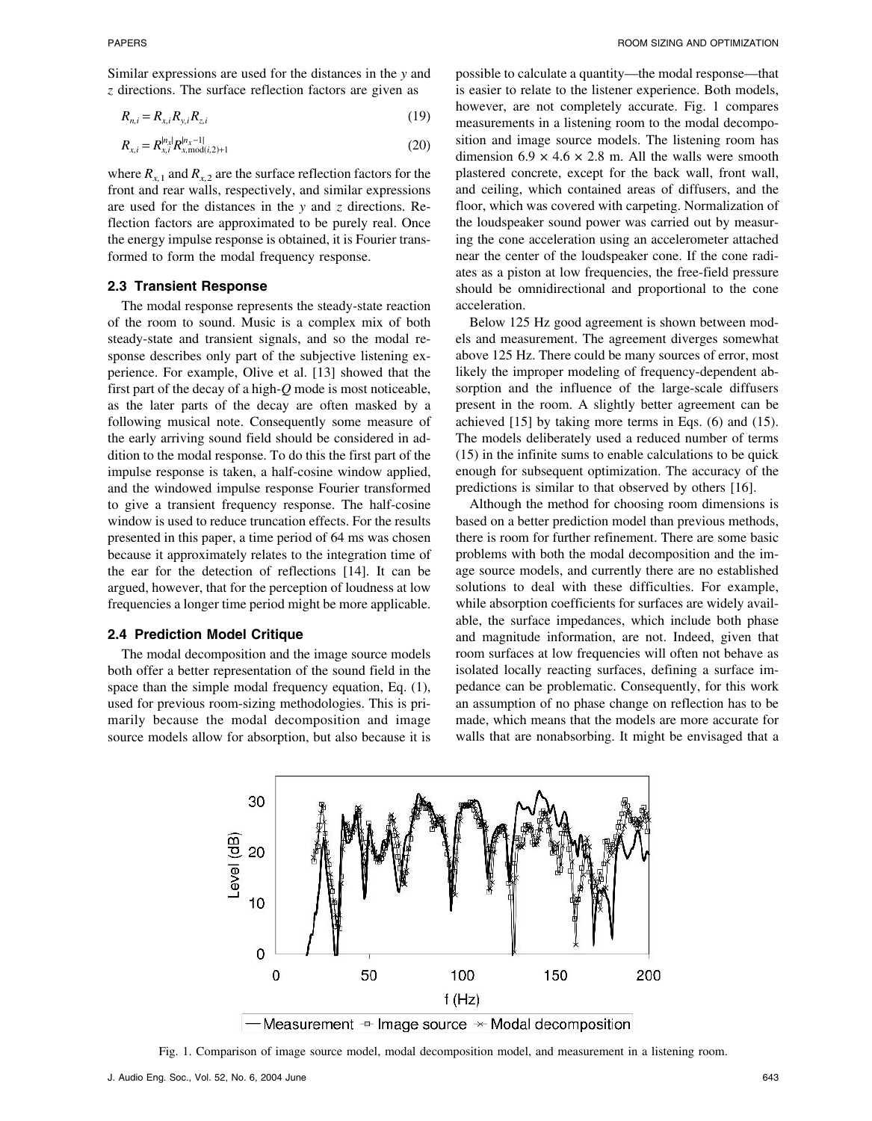Similar expressions are used for the distances in the *y* and *z* directions. The surface reflection factors are given as

$$
R_{n,i} = R_{x,i} R_{y,i} R_{z,i}
$$
 (19)

$$
R_{x,i} = R_{x,i}^{n_x|} R_{x,\text{mod}(i,2)+1}^{n_x-1}
$$
 (20)

where  $R_{x,1}$  and  $R_{x,2}$  are the surface reflection factors for the front and rear walls, respectively, and similar expressions are used for the distances in the *y* and *z* directions. Reflection factors are approximated to be purely real. Once the energy impulse response is obtained, it is Fourier transformed to form the modal frequency response.

### **2.3 Transient Response**

The modal response represents the steady-state reaction of the room to sound. Music is a complex mix of both steady-state and transient signals, and so the modal response describes only part of the subjective listening experience. For example, Olive et al. [13] showed that the first part of the decay of a high-*Q* mode is most noticeable, as the later parts of the decay are often masked by a following musical note. Consequently some measure of the early arriving sound field should be considered in addition to the modal response. To do this the first part of the impulse response is taken, a half-cosine window applied, and the windowed impulse response Fourier transformed to give a transient frequency response. The half-cosine window is used to reduce truncation effects. For the results presented in this paper, a time period of 64 ms was chosen because it approximately relates to the integration time of the ear for the detection of reflections [14]. It can be argued, however, that for the perception of loudness at low frequencies a longer time period might be more applicable.

### **2.4 Prediction Model Critique**

The modal decomposition and the image source models both offer a better representation of the sound field in the space than the simple modal frequency equation, Eq. (1), used for previous room-sizing methodologies. This is primarily because the modal decomposition and image source models allow for absorption, but also because it is

possible to calculate a quantity—the modal response—that is easier to relate to the listener experience. Both models, however, are not completely accurate. Fig. 1 compares measurements in a listening room to the modal decomposition and image source models. The listening room has dimension  $6.9 \times 4.6 \times 2.8$  m. All the walls were smooth plastered concrete, except for the back wall, front wall, and ceiling, which contained areas of diffusers, and the floor, which was covered with carpeting. Normalization of the loudspeaker sound power was carried out by measuring the cone acceleration using an accelerometer attached near the center of the loudspeaker cone. If the cone radiates as a piston at low frequencies, the free-field pressure should be omnidirectional and proportional to the cone acceleration.

Below 125 Hz good agreement is shown between models and measurement. The agreement diverges somewhat above 125 Hz. There could be many sources of error, most likely the improper modeling of frequency-dependent absorption and the influence of the large-scale diffusers present in the room. A slightly better agreement can be achieved [15] by taking more terms in Eqs. (6) and (15). The models deliberately used a reduced number of terms (15) in the infinite sums to enable calculations to be quick enough for subsequent optimization. The accuracy of the predictions is similar to that observed by others [16].

Although the method for choosing room dimensions is based on a better prediction model than previous methods, there is room for further refinement. There are some basic problems with both the modal decomposition and the image source models, and currently there are no established solutions to deal with these difficulties. For example, while absorption coefficients for surfaces are widely available, the surface impedances, which include both phase and magnitude information, are not. Indeed, given that room surfaces at low frequencies will often not behave as isolated locally reacting surfaces, defining a surface impedance can be problematic. Consequently, for this work an assumption of no phase change on reflection has to be made, which means that the models are more accurate for walls that are nonabsorbing. It might be envisaged that a



-Measurement  $\pm$  Image source  $\times$  Modal decomposition

Fig. 1. Comparison of image source model, modal decomposition model, and measurement in a listening room.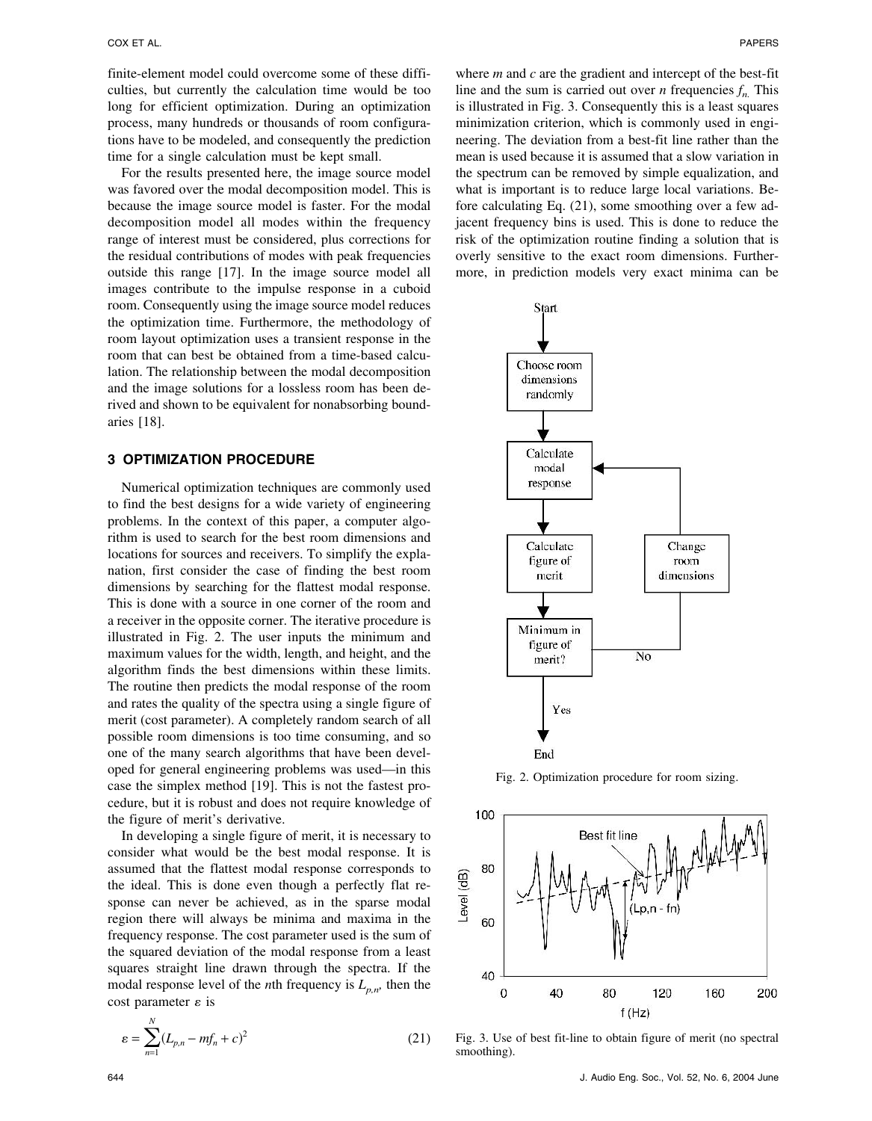finite-element model could overcome some of these difficulties, but currently the calculation time would be too long for efficient optimization. During an optimization process, many hundreds or thousands of room configurations have to be modeled, and consequently the prediction time for a single calculation must be kept small.

For the results presented here, the image source model was favored over the modal decomposition model. This is because the image source model is faster. For the modal decomposition model all modes within the frequency range of interest must be considered, plus corrections for the residual contributions of modes with peak frequencies outside this range [17]. In the image source model all images contribute to the impulse response in a cuboid room. Consequently using the image source model reduces the optimization time. Furthermore, the methodology of room layout optimization uses a transient response in the room that can best be obtained from a time-based calculation. The relationship between the modal decomposition and the image solutions for a lossless room has been derived and shown to be equivalent for nonabsorbing boundaries [18].

# **3 OPTIMIZATION PROCEDURE**

Numerical optimization techniques are commonly used to find the best designs for a wide variety of engineering problems. In the context of this paper, a computer algorithm is used to search for the best room dimensions and locations for sources and receivers. To simplify the explanation, first consider the case of finding the best room dimensions by searching for the flattest modal response. This is done with a source in one corner of the room and a receiver in the opposite corner. The iterative procedure is illustrated in Fig. 2. The user inputs the minimum and maximum values for the width, length, and height, and the algorithm finds the best dimensions within these limits. The routine then predicts the modal response of the room and rates the quality of the spectra using a single figure of merit (cost parameter). A completely random search of all possible room dimensions is too time consuming, and so one of the many search algorithms that have been developed for general engineering problems was used—in this case the simplex method [19]. This is not the fastest procedure, but it is robust and does not require knowledge of the figure of merit's derivative.

In developing a single figure of merit, it is necessary to consider what would be the best modal response. It is assumed that the flattest modal response corresponds to the ideal. This is done even though a perfectly flat response can never be achieved, as in the sparse modal region there will always be minima and maxima in the frequency response. The cost parameter used is the sum of the squared deviation of the modal response from a least squares straight line drawn through the spectra. If the modal response level of the *n*th frequency is  $L_{p,n}$ , then the cost parameter  $\varepsilon$  is

$$
\varepsilon = \sum_{n=1}^{N} (L_{p,n} - m f_n + c)^2
$$
 (21)

where *m* and *c* are the gradient and intercept of the best-fit line and the sum is carried out over *n* frequencies  $f_n$ . This is illustrated in Fig. 3. Consequently this is a least squares minimization criterion, which is commonly used in engineering. The deviation from a best-fit line rather than the mean is used because it is assumed that a slow variation in the spectrum can be removed by simple equalization, and what is important is to reduce large local variations. Before calculating Eq. (21), some smoothing over a few adjacent frequency bins is used. This is done to reduce the risk of the optimization routine finding a solution that is overly sensitive to the exact room dimensions. Furthermore, in prediction models very exact minima can be



Fig. 2. Optimization procedure for room sizing.



Fig. 3. Use of best fit-line to obtain figure of merit (no spectral smoothing).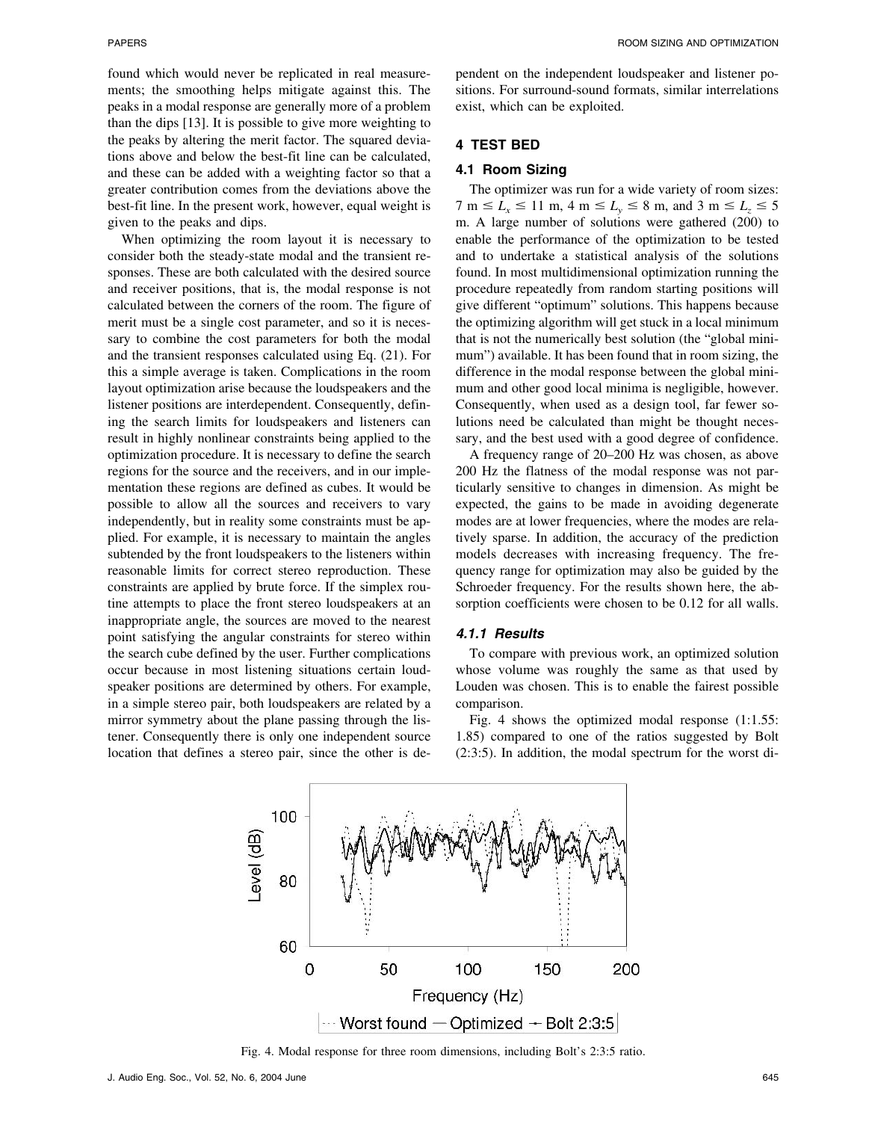found which would never be replicated in real measurements; the smoothing helps mitigate against this. The peaks in a modal response are generally more of a problem than the dips [13]. It is possible to give more weighting to the peaks by altering the merit factor. The squared deviations above and below the best-fit line can be calculated, and these can be added with a weighting factor so that a greater contribution comes from the deviations above the best-fit line. In the present work, however, equal weight is given to the peaks and dips.

When optimizing the room layout it is necessary to consider both the steady-state modal and the transient responses. These are both calculated with the desired source and receiver positions, that is, the modal response is not calculated between the corners of the room. The figure of merit must be a single cost parameter, and so it is necessary to combine the cost parameters for both the modal and the transient responses calculated using Eq. (21). For this a simple average is taken. Complications in the room layout optimization arise because the loudspeakers and the listener positions are interdependent. Consequently, defining the search limits for loudspeakers and listeners can result in highly nonlinear constraints being applied to the optimization procedure. It is necessary to define the search regions for the source and the receivers, and in our implementation these regions are defined as cubes. It would be possible to allow all the sources and receivers to vary independently, but in reality some constraints must be applied. For example, it is necessary to maintain the angles subtended by the front loudspeakers to the listeners within reasonable limits for correct stereo reproduction. These constraints are applied by brute force. If the simplex routine attempts to place the front stereo loudspeakers at an inappropriate angle, the sources are moved to the nearest point satisfying the angular constraints for stereo within the search cube defined by the user. Further complications occur because in most listening situations certain loudspeaker positions are determined by others. For example, in a simple stereo pair, both loudspeakers are related by a mirror symmetry about the plane passing through the listener. Consequently there is only one independent source location that defines a stereo pair, since the other is dependent on the independent loudspeaker and listener positions. For surround-sound formats, similar interrelations exist, which can be exploited.

### **4 TEST BED**

# **4.1 Room Sizing**

The optimizer was run for a wide variety of room sizes:  $7 \text{ m} \le L_x \le 11 \text{ m}, 4 \text{ m} \le L_y \le 8 \text{ m}, \text{ and } 3 \text{ m} \le L_z \le 5$ m. A large number of solutions were gathered (200) to enable the performance of the optimization to be tested and to undertake a statistical analysis of the solutions found. In most multidimensional optimization running the procedure repeatedly from random starting positions will give different "optimum" solutions. This happens because the optimizing algorithm will get stuck in a local minimum that is not the numerically best solution (the "global minimum") available. It has been found that in room sizing, the difference in the modal response between the global minimum and other good local minima is negligible, however. Consequently, when used as a design tool, far fewer solutions need be calculated than might be thought necessary, and the best used with a good degree of confidence.

A frequency range of 20–200 Hz was chosen, as above 200 Hz the flatness of the modal response was not particularly sensitive to changes in dimension. As might be expected, the gains to be made in avoiding degenerate modes are at lower frequencies, where the modes are relatively sparse. In addition, the accuracy of the prediction models decreases with increasing frequency. The frequency range for optimization may also be guided by the Schroeder frequency. For the results shown here, the absorption coefficients were chosen to be 0.12 for all walls.

### *4.1.1 Results*

To compare with previous work, an optimized solution whose volume was roughly the same as that used by Louden was chosen. This is to enable the fairest possible comparison.

Fig. 4 shows the optimized modal response (1:1.55: 1.85) compared to one of the ratios suggested by Bolt (2:3:5). In addition, the modal spectrum for the worst di-



Fig. 4. Modal response for three room dimensions, including Bolt's 2:3:5 ratio.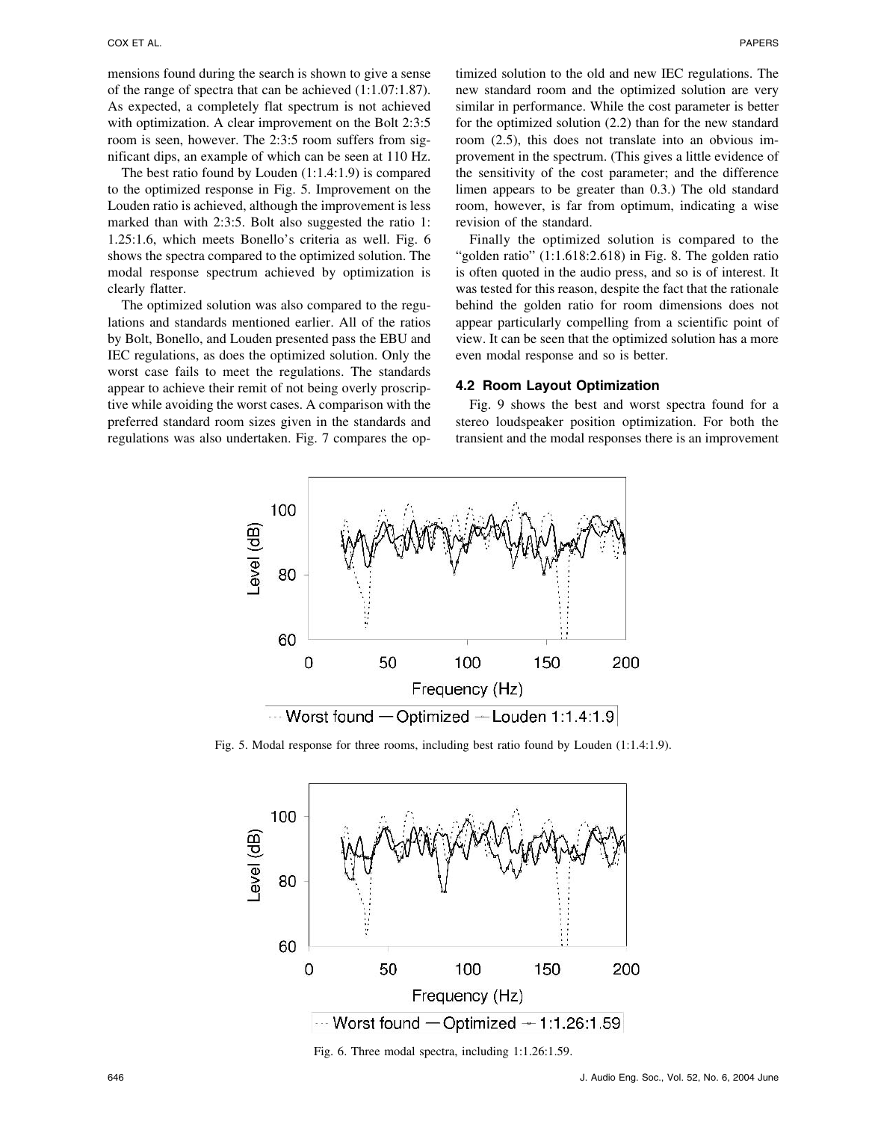mensions found during the search is shown to give a sense of the range of spectra that can be achieved (1:1.07:1.87). As expected, a completely flat spectrum is not achieved with optimization. A clear improvement on the Bolt 2:3:5 room is seen, however. The 2:3:5 room suffers from significant dips, an example of which can be seen at 110 Hz.

The best ratio found by Louden (1:1.4:1.9) is compared to the optimized response in Fig. 5. Improvement on the Louden ratio is achieved, although the improvement is less marked than with 2:3:5. Bolt also suggested the ratio 1: 1.25:1.6, which meets Bonello's criteria as well. Fig. 6 shows the spectra compared to the optimized solution. The modal response spectrum achieved by optimization is clearly flatter.

The optimized solution was also compared to the regulations and standards mentioned earlier. All of the ratios by Bolt, Bonello, and Louden presented pass the EBU and IEC regulations, as does the optimized solution. Only the worst case fails to meet the regulations. The standards appear to achieve their remit of not being overly proscriptive while avoiding the worst cases. A comparison with the preferred standard room sizes given in the standards and regulations was also undertaken. Fig. 7 compares the optimized solution to the old and new IEC regulations. The new standard room and the optimized solution are very similar in performance. While the cost parameter is better for the optimized solution (2.2) than for the new standard room (2.5), this does not translate into an obvious improvement in the spectrum. (This gives a little evidence of the sensitivity of the cost parameter; and the difference limen appears to be greater than 0.3.) The old standard room, however, is far from optimum, indicating a wise revision of the standard.

Finally the optimized solution is compared to the "golden ratio" (1:1.618:2.618) in Fig. 8. The golden ratio is often quoted in the audio press, and so is of interest. It was tested for this reason, despite the fact that the rationale behind the golden ratio for room dimensions does not appear particularly compelling from a scientific point of view. It can be seen that the optimized solution has a more even modal response and so is better.

### **4.2 Room Layout Optimization**

Fig. 9 shows the best and worst spectra found for a stereo loudspeaker position optimization. For both the transient and the modal responses there is an improvement



Fig. 5. Modal response for three rooms, including best ratio found by Louden (1:1.4:1.9).



Fig. 6. Three modal spectra, including 1:1.26:1.59.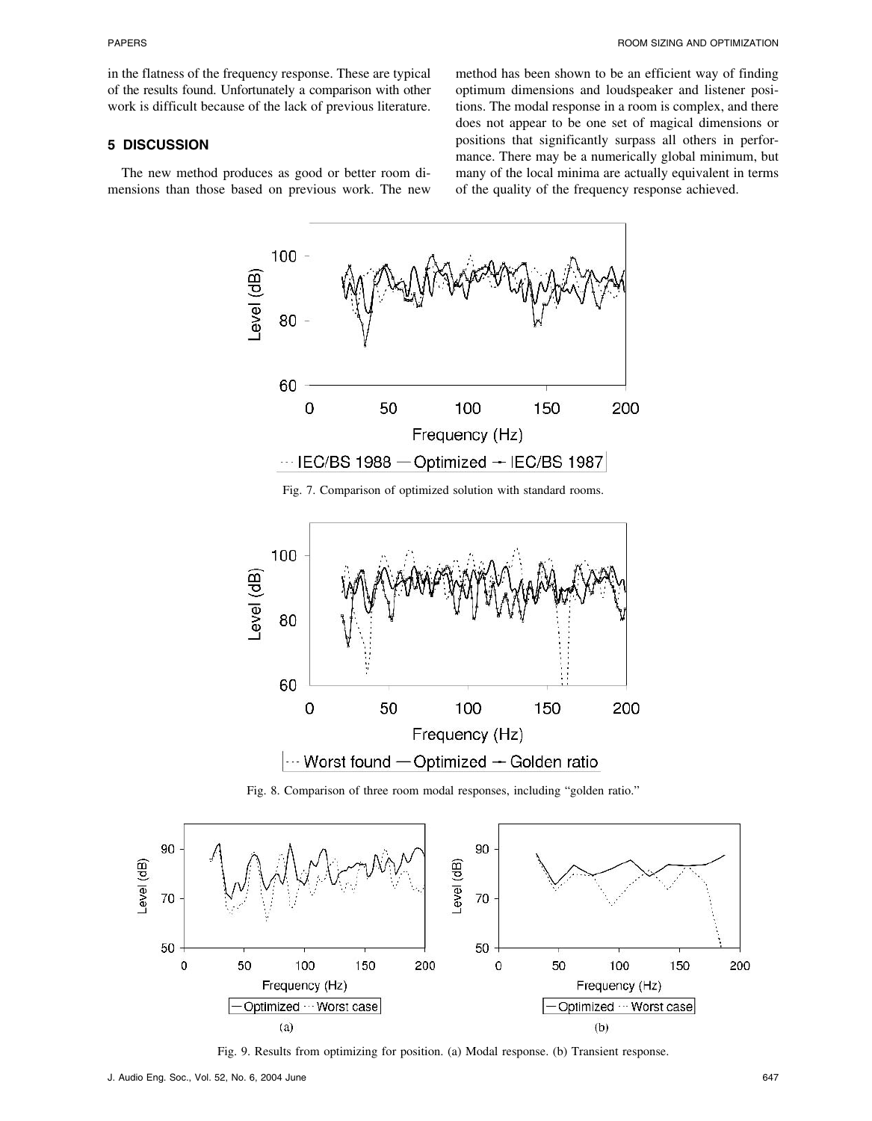in the flatness of the frequency response. These are typical of the results found. Unfortunately a comparison with other work is difficult because of the lack of previous literature.

# **5 DISCUSSION**

The new method produces as good or better room dimensions than those based on previous work. The new

method has been shown to be an efficient way of finding optimum dimensions and loudspeaker and listener positions. The modal response in a room is complex, and there does not appear to be one set of magical dimensions or positions that significantly surpass all others in performance. There may be a numerically global minimum, but many of the local minima are actually equivalent in terms of the quality of the frequency response achieved.



Fig. 7. Comparison of optimized solution with standard rooms.



Fig. 8. Comparison of three room modal responses, including "golden ratio."



Fig. 9. Results from optimizing for position. (a) Modal response. (b) Transient response.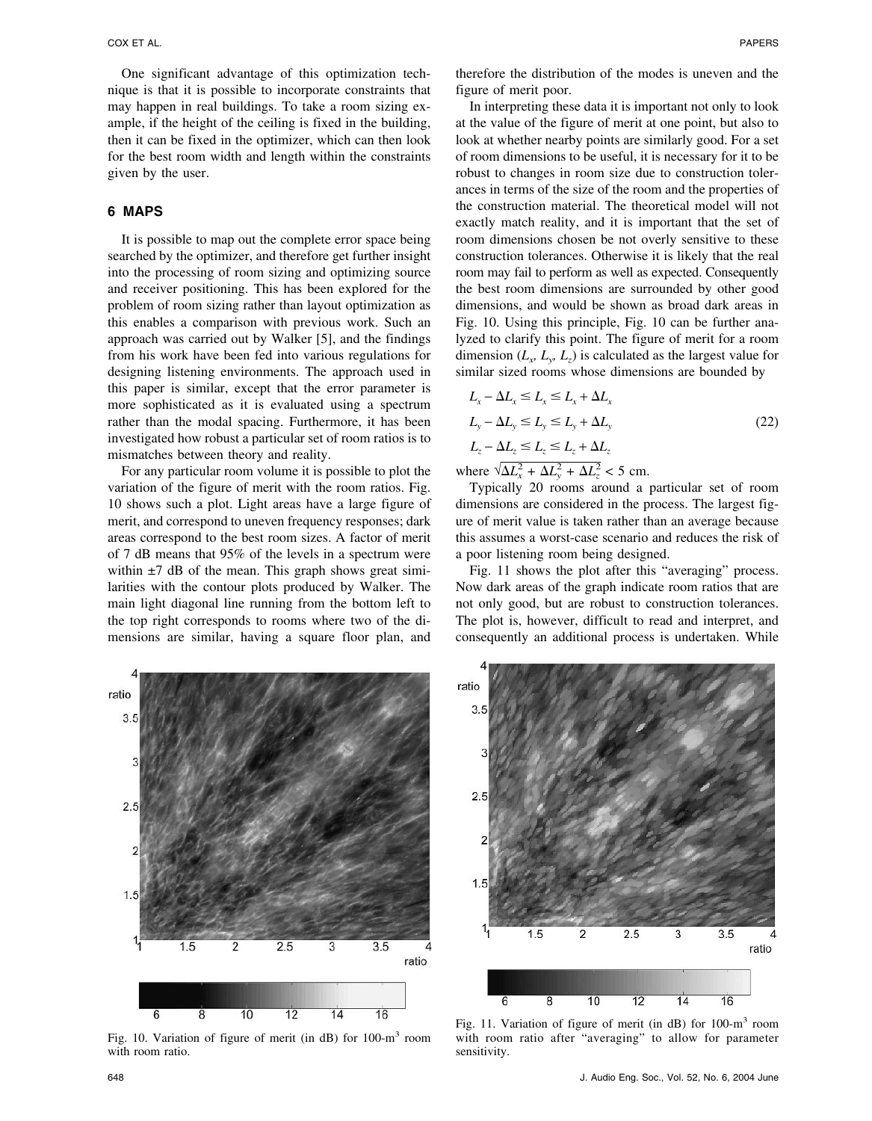One significant advantage of this optimization technique is that it is possible to incorporate constraints that may happen in real buildings. To take a room sizing example, if the height of the ceiling is fixed in the building, then it can be fixed in the optimizer, which can then look for the best room width and length within the constraints given by the user.

# **6 MAPS**

It is possible to map out the complete error space being searched by the optimizer, and therefore get further insight into the processing of room sizing and optimizing source and receiver positioning. This has been explored for the problem of room sizing rather than layout optimization as this enables a comparison with previous work. Such an approach was carried out by Walker [5], and the findings from his work have been fed into various regulations for designing listening environments. The approach used in this paper is similar, except that the error parameter is more sophisticated as it is evaluated using a spectrum rather than the modal spacing. Furthermore, it has been investigated how robust a particular set of room ratios is to mismatches between theory and reality.

For any particular room volume it is possible to plot the variation of the figure of merit with the room ratios. Fig. 10 shows such a plot. Light areas have a large figure of merit, and correspond to uneven frequency responses; dark areas correspond to the best room sizes. A factor of merit of 7 dB means that 95% of the levels in a spectrum were within  $\pm$ 7 dB of the mean. This graph shows great similarities with the contour plots produced by Walker. The main light diagonal line running from the bottom left to the top right corresponds to rooms where two of the dimensions are similar, having a square floor plan, and therefore the distribution of the modes is uneven and the figure of merit poor.

In interpreting these data it is important not only to look at the value of the figure of merit at one point, but also to look at whether nearby points are similarly good. For a set of room dimensions to be useful, it is necessary for it to be robust to changes in room size due to construction tolerances in terms of the size of the room and the properties of the construction material. The theoretical model will not exactly match reality, and it is important that the set of room dimensions chosen be not overly sensitive to these construction tolerances. Otherwise it is likely that the real room may fail to perform as well as expected. Consequently the best room dimensions are surrounded by other good dimensions, and would be shown as broad dark areas in Fig. 10. Using this principle, Fig. 10 can be further analyzed to clarify this point. The figure of merit for a room dimension  $(L_x, L_y, L_z)$  is calculated as the largest value for similar sized rooms whose dimensions are bounded by

$$
L_x - \Delta L_x \le L_x \le L_x + \Delta L_x
$$
  
\n
$$
L_y - \Delta L_y \le L_y \le L_y + \Delta L_y
$$
  
\n
$$
L_z - \Delta L_z \le L_z \le L_z + \Delta L_z
$$
\n(22)

where  $\sqrt{\Delta L_x^2 + \Delta L_y^2 + \Delta L_z^2}$  < 5 cm.

Typically 20 rooms around a particular set of room dimensions are considered in the process. The largest figure of merit value is taken rather than an average because this assumes a worst-case scenario and reduces the risk of a poor listening room being designed.

Fig. 11 shows the plot after this "averaging" process. Now dark areas of the graph indicate room ratios that are not only good, but are robust to construction tolerances. The plot is, however, difficult to read and interpret, and consequently an additional process is undertaken. While



Fig. 10. Variation of figure of merit (in dB) for 100-m3 room with room ratio.



Fig. 11. Variation of figure of merit (in  $dB$ ) for 100-m<sup>3</sup> room with room ratio after "averaging" to allow for parameter sensitivity.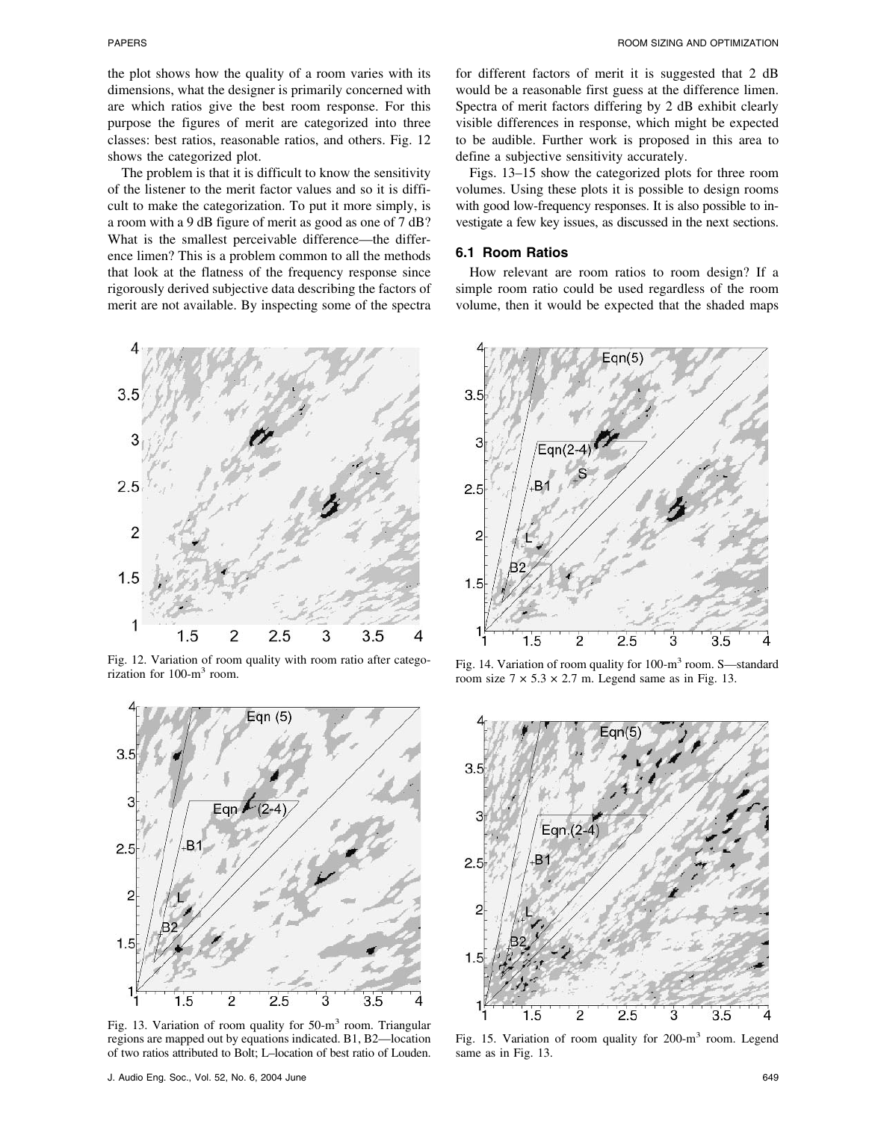the plot shows how the quality of a room varies with its dimensions, what the designer is primarily concerned with are which ratios give the best room response. For this purpose the figures of merit are categorized into three classes: best ratios, reasonable ratios, and others. Fig. 12 shows the categorized plot.

The problem is that it is difficult to know the sensitivity of the listener to the merit factor values and so it is difficult to make the categorization. To put it more simply, is a room with a 9 dB figure of merit as good as one of 7 dB? What is the smallest perceivable difference—the difference limen? This is a problem common to all the methods that look at the flatness of the frequency response since rigorously derived subjective data describing the factors of merit are not available. By inspecting some of the spectra



Fig. 12. Variation of room quality with room ratio after categorization for  $100 \text{--} m<sup>3</sup>$  room.



Fig. 13. Variation of room quality for 50-m<sup>3</sup> room. Triangular regions are mapped out by equations indicated. B1, B2—location of two ratios attributed to Bolt; L–location of best ratio of Louden.

for different factors of merit it is suggested that 2 dB would be a reasonable first guess at the difference limen. Spectra of merit factors differing by 2 dB exhibit clearly visible differences in response, which might be expected to be audible. Further work is proposed in this area to define a subjective sensitivity accurately.

Figs. 13–15 show the categorized plots for three room volumes. Using these plots it is possible to design rooms with good low-frequency responses. It is also possible to investigate a few key issues, as discussed in the next sections.

### **6.1 Room Ratios**

How relevant are room ratios to room design? If a simple room ratio could be used regardless of the room volume, then it would be expected that the shaded maps



Fig. 14. Variation of room quality for 100-m<sup>3</sup> room. S—standard room size  $7 \times 5.3 \times 2.7$  m. Legend same as in Fig. 13.



Fig. 15. Variation of room quality for 200-m<sup>3</sup> room. Legend same as in Fig. 13.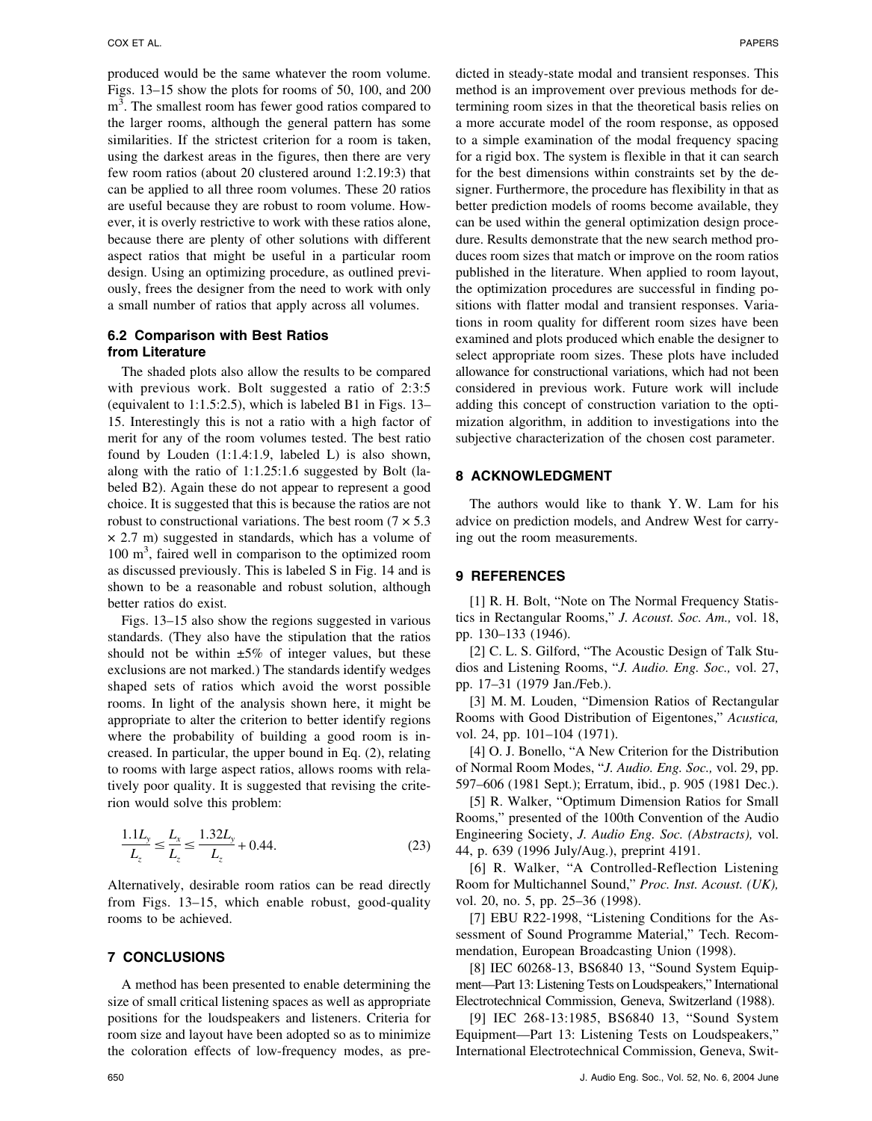produced would be the same whatever the room volume. Figs. 13–15 show the plots for rooms of 50, 100, and 200  $m<sup>3</sup>$ . The smallest room has fewer good ratios compared to the larger rooms, although the general pattern has some similarities. If the strictest criterion for a room is taken, using the darkest areas in the figures, then there are very few room ratios (about 20 clustered around 1:2.19:3) that can be applied to all three room volumes. These 20 ratios are useful because they are robust to room volume. However, it is overly restrictive to work with these ratios alone, because there are plenty of other solutions with different aspect ratios that might be useful in a particular room design. Using an optimizing procedure, as outlined previously, frees the designer from the need to work with only a small number of ratios that apply across all volumes.

# **6.2 Comparison with Best Ratios from Literature**

The shaded plots also allow the results to be compared with previous work. Bolt suggested a ratio of 2:3:5 (equivalent to 1:1.5:2.5), which is labeled B1 in Figs. 13– 15. Interestingly this is not a ratio with a high factor of merit for any of the room volumes tested. The best ratio found by Louden (1:1.4:1.9, labeled L) is also shown, along with the ratio of 1:1.25:1.6 suggested by Bolt (labeled B2). Again these do not appear to represent a good choice. It is suggested that this is because the ratios are not robust to constructional variations. The best room ( $7 \times 5.3$ )  $\times$  2.7 m) suggested in standards, which has a volume of 100 m<sup>3</sup> , faired well in comparison to the optimized room as discussed previously. This is labeled S in Fig. 14 and is shown to be a reasonable and robust solution, although better ratios do exist.

Figs. 13–15 also show the regions suggested in various standards. (They also have the stipulation that the ratios should not be within  $\pm 5\%$  of integer values, but these exclusions are not marked.) The standards identify wedges shaped sets of ratios which avoid the worst possible rooms. In light of the analysis shown here, it might be appropriate to alter the criterion to better identify regions where the probability of building a good room is increased. In particular, the upper bound in Eq. (2), relating to rooms with large aspect ratios, allows rooms with relatively poor quality. It is suggested that revising the criterion would solve this problem:

$$
\frac{1.1L_y}{L_z} \le \frac{L_x}{L_z} \le \frac{1.32L_y}{L_z} + 0.44. \tag{23}
$$

Alternatively, desirable room ratios can be read directly from Figs. 13–15, which enable robust, good-quality rooms to be achieved.

### **7 CONCLUSIONS**

A method has been presented to enable determining the size of small critical listening spaces as well as appropriate positions for the loudspeakers and listeners. Criteria for room size and layout have been adopted so as to minimize the coloration effects of low-frequency modes, as predicted in steady-state modal and transient responses. This method is an improvement over previous methods for determining room sizes in that the theoretical basis relies on a more accurate model of the room response, as opposed to a simple examination of the modal frequency spacing for a rigid box. The system is flexible in that it can search for the best dimensions within constraints set by the designer. Furthermore, the procedure has flexibility in that as better prediction models of rooms become available, they can be used within the general optimization design procedure. Results demonstrate that the new search method produces room sizes that match or improve on the room ratios published in the literature. When applied to room layout, the optimization procedures are successful in finding positions with flatter modal and transient responses. Variations in room quality for different room sizes have been examined and plots produced which enable the designer to select appropriate room sizes. These plots have included allowance for constructional variations, which had not been considered in previous work. Future work will include adding this concept of construction variation to the optimization algorithm, in addition to investigations into the subjective characterization of the chosen cost parameter.

# **8 ACKNOWLEDGMENT**

The authors would like to thank Y. W. Lam for his advice on prediction models, and Andrew West for carrying out the room measurements.

# **9 REFERENCES**

[1] R. H. Bolt, "Note on The Normal Frequency Statistics in Rectangular Rooms," *J. Acoust. Soc. Am.,* vol. 18, pp. 130–133 (1946).

[2] C. L. S. Gilford, "The Acoustic Design of Talk Studios and Listening Rooms, "*J. Audio. Eng. Soc.,* vol. 27, pp. 17–31 (1979 Jan./Feb.).

[3] M. M. Louden, "Dimension Ratios of Rectangular Rooms with Good Distribution of Eigentones," *Acustica,* vol. 24, pp. 101–104 (1971).

[4] O. J. Bonello, "A New Criterion for the Distribution of Normal Room Modes, "*J. Audio. Eng. Soc.,* vol. 29, pp. 597–606 (1981 Sept.); Erratum, ibid., p. 905 (1981 Dec.).

[5] R. Walker, "Optimum Dimension Ratios for Small Rooms," presented of the 100th Convention of the Audio Engineering Society, *J. Audio Eng. Soc. (Abstracts),* vol. 44, p. 639 (1996 July/Aug.), preprint 4191.

[6] R. Walker, "A Controlled-Reflection Listening Room for Multichannel Sound," *Proc. Inst. Acoust. (UK),* vol. 20, no. 5, pp. 25–36 (1998).

[7] EBU R22-1998, "Listening Conditions for the Assessment of Sound Programme Material," Tech. Recommendation, European Broadcasting Union (1998).

[8] IEC 60268-13, BS6840 13, "Sound System Equipment—Part 13: Listening Tests on Loudspeakers," International Electrotechnical Commission, Geneva, Switzerland (1988).

[9] IEC 268-13:1985, BS6840 13, "Sound System Equipment—Part 13: Listening Tests on Loudspeakers," International Electrotechnical Commission, Geneva, Swit